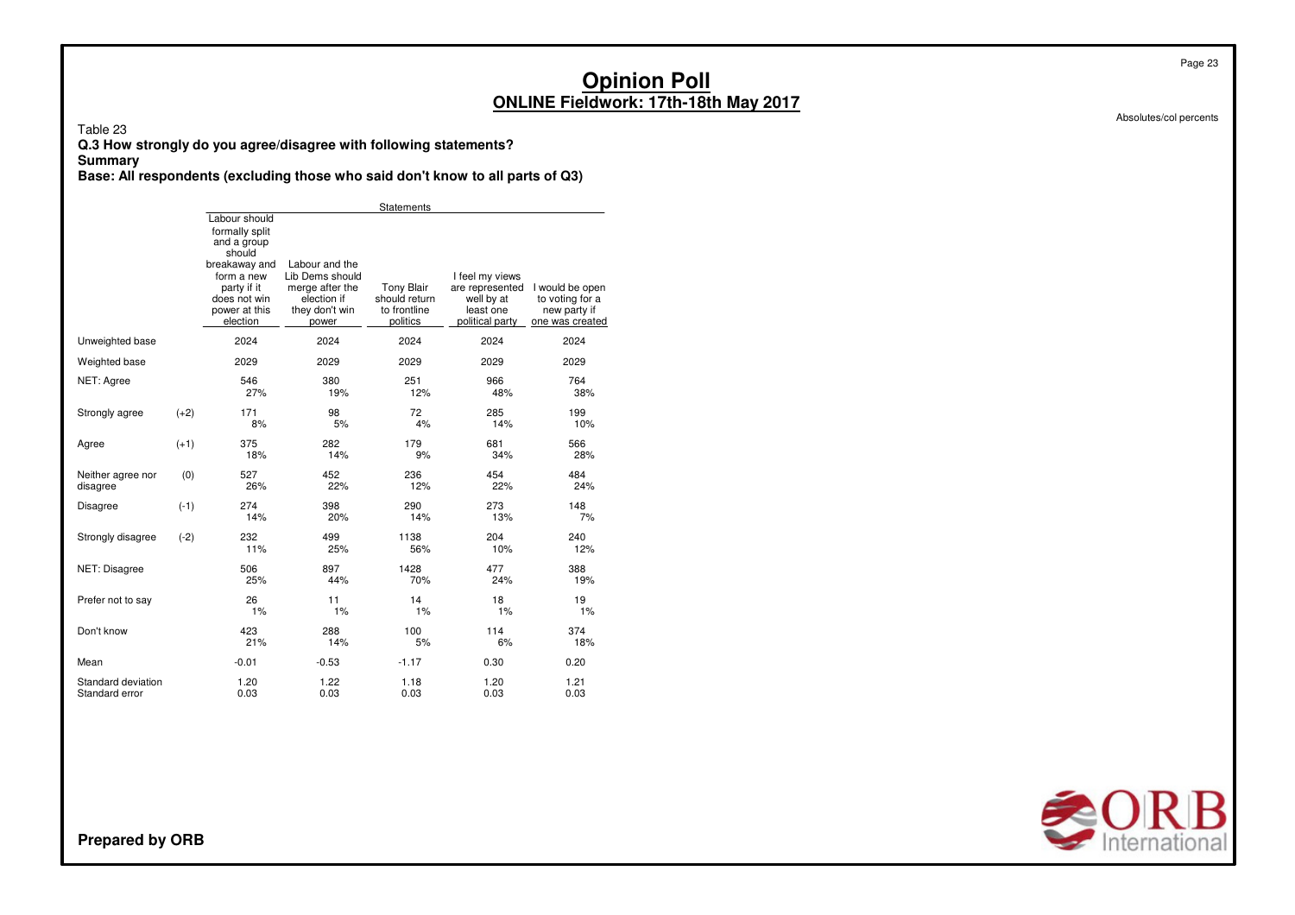Absolutes/col percents

Page 23

Table 23

**Q.3 How strongly do you agree/disagree with following statements?**

#### **Summary**

**Base: All respondents (excluding those who said don't know to all parts of Q3)**

|                                      |        |                                                                                                                                                     |                                                                                                | Statements                                                     |                                                                                  |                                                                       |
|--------------------------------------|--------|-----------------------------------------------------------------------------------------------------------------------------------------------------|------------------------------------------------------------------------------------------------|----------------------------------------------------------------|----------------------------------------------------------------------------------|-----------------------------------------------------------------------|
|                                      |        | Labour should<br>formally split<br>and a group<br>should<br>breakaway and<br>form a new<br>party if it<br>does not win<br>power at this<br>election | Labour and the<br>Lib Dems should<br>merge after the<br>election if<br>they don't win<br>power | <b>Tony Blair</b><br>should return<br>to frontline<br>politics | I feel my views<br>are represented<br>well by at<br>least one<br>political party | I would be open<br>to voting for a<br>new party if<br>one was created |
| Unweighted base                      |        | 2024                                                                                                                                                | 2024                                                                                           | 2024                                                           | 2024                                                                             | 2024                                                                  |
| Weighted base                        |        | 2029                                                                                                                                                | 2029                                                                                           | 2029                                                           | 2029                                                                             | 2029                                                                  |
| NET: Agree                           |        | 546<br>27%                                                                                                                                          | 380<br>19%                                                                                     | 251<br>12%                                                     | 966<br>48%                                                                       | 764<br>38%                                                            |
| Strongly agree                       | $(+2)$ | 171<br>8%                                                                                                                                           | 98<br>5%                                                                                       | 72<br>4%                                                       | 285<br>14%                                                                       | 199<br>10%                                                            |
| Agree                                | $(+1)$ | 375<br>18%                                                                                                                                          | 282<br>14%                                                                                     | 179<br>9%                                                      | 681<br>34%                                                                       | 566<br>28%                                                            |
| Neither agree nor<br>disagree        | (0)    | 527<br>26%                                                                                                                                          | 452<br>22%                                                                                     | 236<br>12%                                                     | 454<br>22%                                                                       | 484<br>24%                                                            |
| <b>Disagree</b>                      | $(-1)$ | 274<br>14%                                                                                                                                          | 398<br>20%                                                                                     | 290<br>14%                                                     | 273<br>13%                                                                       | 148<br>7%                                                             |
| Strongly disagree                    | $(-2)$ | 232<br>11%                                                                                                                                          | 499<br>25%                                                                                     | 1138<br>56%                                                    | 204<br>10%                                                                       | 240<br>12%                                                            |
| NET: Disagree                        |        | 506<br>25%                                                                                                                                          | 897<br>44%                                                                                     | 1428<br>70%                                                    | 477<br>24%                                                                       | 388<br>19%                                                            |
| Prefer not to say                    |        | 26<br>1%                                                                                                                                            | 11<br>1%                                                                                       | 14<br>1%                                                       | 18<br>1%                                                                         | 19<br>1%                                                              |
| Don't know                           |        | 423<br>21%                                                                                                                                          | 288<br>14%                                                                                     | 100<br>5%                                                      | 114<br>6%                                                                        | 374<br>18%                                                            |
| Mean                                 |        | $-0.01$                                                                                                                                             | $-0.53$                                                                                        | $-1.17$                                                        | 0.30                                                                             | 0.20                                                                  |
| Standard deviation<br>Standard error |        | 1.20<br>0.03                                                                                                                                        | 1.22<br>0.03                                                                                   | 1.18<br>0.03                                                   | 1.20<br>0.03                                                                     | 1.21<br>0.03                                                          |

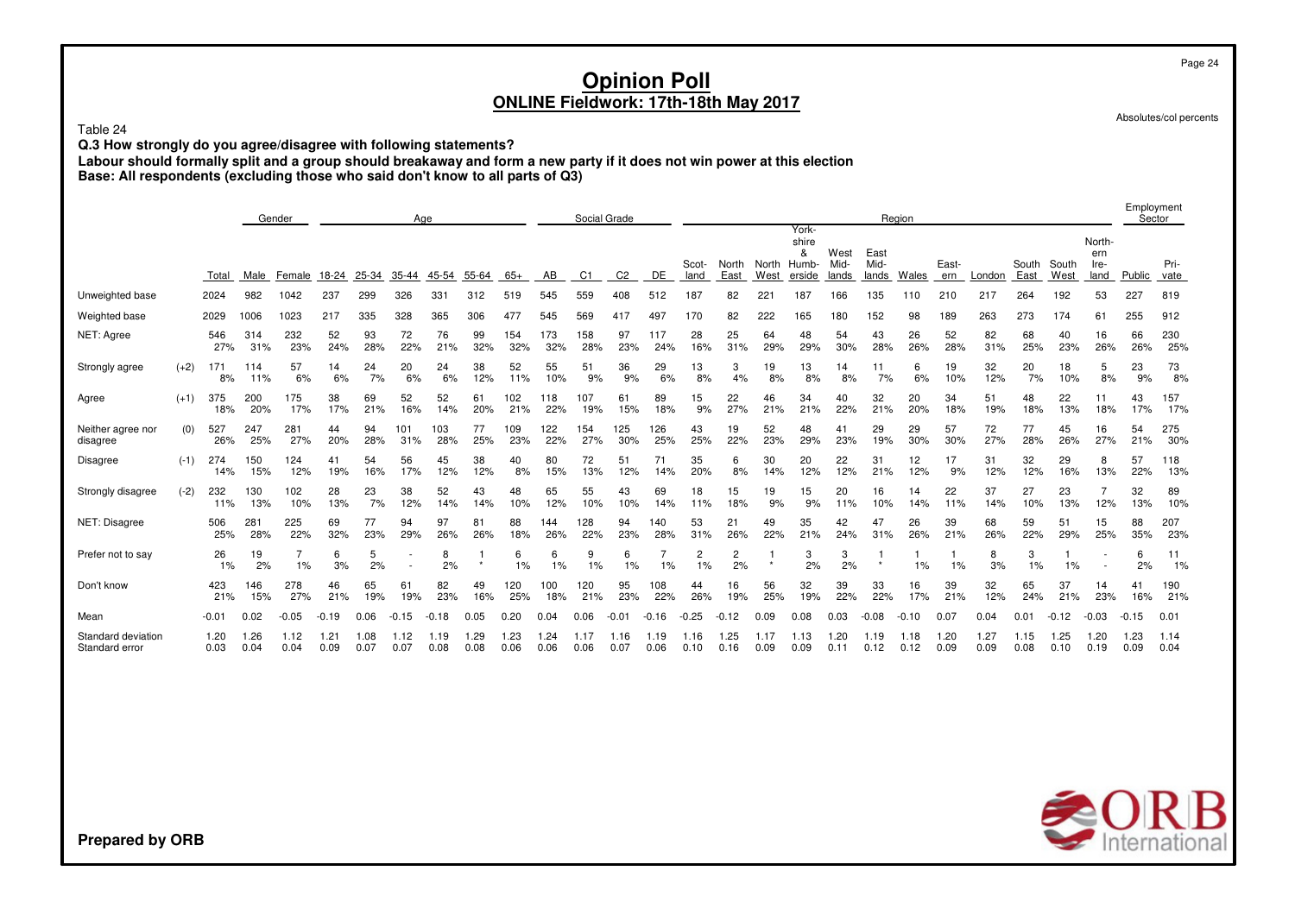Table <sup>24</sup>

**Q.3 How strongly do you agree/disagree with following statements?**

Labour should formally split and a group should breakaway and form a new party if it does not win power at this election<br>Base: All respondents (excluding those who said don't know to all parts of Q3)

|                                      |        |              | Gender<br>Age |              |              |              |              |              |              |              |              |              | Social Grade   |              |               |                      |                 |                                        |                       |                       | Region    |              |              |               |               |                               | Employment<br>Sector |              |
|--------------------------------------|--------|--------------|---------------|--------------|--------------|--------------|--------------|--------------|--------------|--------------|--------------|--------------|----------------|--------------|---------------|----------------------|-----------------|----------------------------------------|-----------------------|-----------------------|-----------|--------------|--------------|---------------|---------------|-------------------------------|----------------------|--------------|
|                                      |        | Total        | Male          | Female       | 18-24        | 25-34        | 35-44        | 45-54        | 55-64        | $65+$        | AB           | C1           | C <sub>2</sub> | DE           | Scot-<br>land | North<br>East        | North<br>West   | York-<br>shire<br>&<br>Humb-<br>erside | West<br>Mid-<br>lands | East<br>Mid-<br>lands | Wales     | East-<br>ern | London       | South<br>East | South<br>West | North-<br>ern<br>Ire-<br>land | Public               | Pri-<br>vate |
| Unweighted base                      |        | 2024         | 982           | 1042         | 237          | 299          | 326          | 331          | 312          | 519          | 545          | 559          | 408            | 512          | 187           | 82                   | 22 <sub>1</sub> | 187                                    | 166                   | 135                   | 110       | 210          | 217          | 264           | 192           | 53                            | 227                  | 819          |
| Weighted base                        |        | 2029         | 1006          | 1023         | 217          | 335          | 328          | 365          | 306          | 477          | 545          | 569          | 417            | 497          | 170           | 82                   | 222             | 165                                    | 180                   | 152                   | 98        | 189          | 263          | 273           | 174           | 61                            | 255                  | 912          |
| NET: Agree                           |        | 546<br>27%   | 314<br>31%    | 232<br>23%   | 52<br>24%    | 93<br>28%    | 72<br>22%    | 76<br>21%    | 99<br>32%    | 154<br>32%   | 173<br>32%   | 58<br>28%    | 97<br>23%      | 117<br>24%   | 28<br>16%     | 25<br>31%            | 64<br>29%       | 48<br>29%                              | 54<br>30%             | 43<br>28%             | 26<br>26% | 52<br>28%    | 82<br>31%    | 68<br>25%     | 40<br>23%     | 16<br>26%                     | 66<br>26%            | 230<br>25%   |
| Strongly agree                       | $(+2)$ | 171<br>8%    | 114<br>11%    | 57<br>6%     | 14<br>6%     | 24<br>7%     | 20<br>6%     | 24<br>6%     | 38<br>12%    | 52<br>11%    | 55<br>10%    | 51<br>9%     | 36<br>9%       | 29<br>6%     | 13<br>8%      | 3<br>4%              | 19<br>8%        | 13<br>8%                               | 14<br>8%              | 7%                    | 6<br>6%   | 19<br>10%    | 32<br>12%    | 20<br>7%      | 18<br>10%     | 5<br>8%                       | 23<br>9%             | 73<br>8%     |
| Agree                                | $(+1)$ | 375<br>18%   | 200<br>20%    | 175<br>17%   | 38<br>17%    | 69<br>21%    | 52<br>16%    | 52<br>14%    | 61<br>20%    | 102<br>21%   | 118<br>22%   | 107<br>19%   | 61<br>15%      | 89<br>18%    | 15<br>9%      | 22<br>27%            | 46<br>21%       | 34<br>21%                              | 40<br>22%             | 32<br>21%             | 20<br>20% | 34<br>18%    | 51<br>19%    | 48<br>18%     | 22<br>13%     | 11<br>18%                     | 43<br>17%            | 157<br>17%   |
| Neither agree nor<br>disagree        | (0)    | 527<br>26%   | 247<br>25%    | 281<br>27%   | 44<br>20%    | 94<br>28%    | 101<br>31%   | 103<br>28%   | 77<br>25%    | 109<br>23%   | 122<br>22%   | 154<br>27%   | 125<br>30%     | 126<br>25%   | 43<br>25%     | 19<br>22%            | 52<br>23%       | 48<br>29%                              | 41<br>23%             | 29<br>19%             | 29<br>30% | 57<br>30%    | 72<br>27%    | 77<br>28%     | 45<br>26%     | 16<br>27%                     | 54<br>21%            | 275<br>30%   |
| Disagree                             | $(-1)$ | 274<br>14%   | 150<br>15%    | 124<br>12%   | 41<br>19%    | 54<br>16%    | 56<br>17%    | 45<br>12%    | 38<br>12%    | 40<br>8%     | 80<br>15%    | 72<br>13%    | 51<br>12%      | 71<br>14%    | 35<br>20%     | 6<br>8%              | 30<br>14%       | 20<br>12%                              | 22<br>12%             | 31<br>21%             | 12<br>12% | 17<br>9%     | 31<br>12%    | 32<br>12%     | 29<br>16%     | 8<br>13%                      | 57<br>22%            | 118<br>13%   |
| Strongly disagree                    | $(-2)$ | 232<br>11%   | 130<br>13%    | 102<br>10%   | 28<br>13%    | 23<br>7%     | 38<br>12%    | 52<br>14%    | 43<br>14%    | 48<br>10%    | 65<br>12%    | 55<br>10%    | 43<br>10%      | 69<br>14%    | 18<br>11%     | 15<br>18%            | 19<br>9%        | 15<br>9%                               | 20<br>11%             | 16<br>10%             | 14<br>14% | 22<br>11%    | 37<br>14%    | 27<br>10%     | 23<br>13%     | 12%                           | 32<br>13%            | 89<br>10%    |
| NET: Disagree                        |        | 506<br>25%   | 281<br>28%    | 225<br>22%   | 69<br>32%    | 77<br>23%    | 94<br>29%    | 97<br>26%    | 81<br>26%    | 88<br>18%    | 144<br>26%   | 128<br>22%   | 94<br>23%      | 140<br>28%   | 53<br>31%     | 21<br>26%            | 49<br>22%       | 35<br>21%                              | 42<br>24%             | 47<br>31%             | 26<br>26% | 39<br>21%    | 68<br>26%    | 59<br>22%     | 51<br>29%     | 15<br>25%                     | 88<br>35%            | 207<br>23%   |
| Prefer not to say                    |        | 26<br>1%     | 19<br>2%      | 1%           | 6<br>3%      | 5<br>2%      |              | 8<br>2%      |              | 6<br>1%      | 6<br>1%      | 9<br>1%      | 1%             | 1%           | 2<br>1%       | $\overline{c}$<br>2% |                 | 3<br>2%                                | 3<br>2%               |                       | 1%        | 1%           | 8<br>3%      | 3<br>1%       | 1%            |                               | 6<br>2%              | 11<br>1%     |
| Don't know                           |        | 423<br>21%   | 146<br>15%    | 278<br>27%   | 46<br>21%    | 65<br>19%    | 61<br>19%    | 82<br>23%    | 49<br>16%    | 120<br>25%   | 100<br>18%   | 120<br>21%   | 95<br>23%      | 108<br>22%   | 44<br>26%     | 16<br>19%            | 56<br>25%       | 32<br>19%                              | 39<br>22%             | 33<br>22%             | 16<br>17% | 39<br>21%    | 32<br>12%    | 65<br>24%     | 37<br>21%     | 14<br>23%                     | 41<br>16%            | 190<br>21%   |
| Mean                                 |        | $-0.01$      | 0.02          | $-0.05$      | $-0.19$      | 0.06         | $-0.15$      | .18          | 0.05         | 0.20         | 0.04         | 0.06         |                | $-0.16$      | .25           | $-0.12$              | 0.09            | 0.08                                   | 0.03                  | $-0.08$               | $-0.10$   | 0.07         | 0.04         | 0.01          | $-0.12$       | $-0.03$                       | $-0.15$              | 0.01         |
| Standard deviation<br>Standard error |        | 1.20<br>0.03 | 1.26<br>0.04  | 1.12<br>0.04 | 1.21<br>0.09 | 1.08<br>0.07 | 1.12<br>0.07 | 1.19<br>0.08 | 1.29<br>0.08 | 1.23<br>0.06 | 1.24<br>0.06 | 1.17<br>0.06 | 1.16<br>0.07   | 1.19<br>0.06 | 1.16<br>0.10  | 1.25<br>0.16         | 1.17<br>0.09    | 1.13<br>0.09                           | 1.20<br>0.1           | 1.19<br>0.12          | 0.12      | 1.20<br>0.09 | 1.27<br>0.09 | 1.15<br>0.08  | 1.25<br>0.10  | 1.20<br>0.19                  | 1.23<br>0.09         | 1.14<br>0.04 |
|                                      |        |              |               |              |              |              |              |              |              |              |              |              |                |              |               |                      |                 |                                        |                       |                       |           |              |              |               |               |                               |                      |              |



Page 24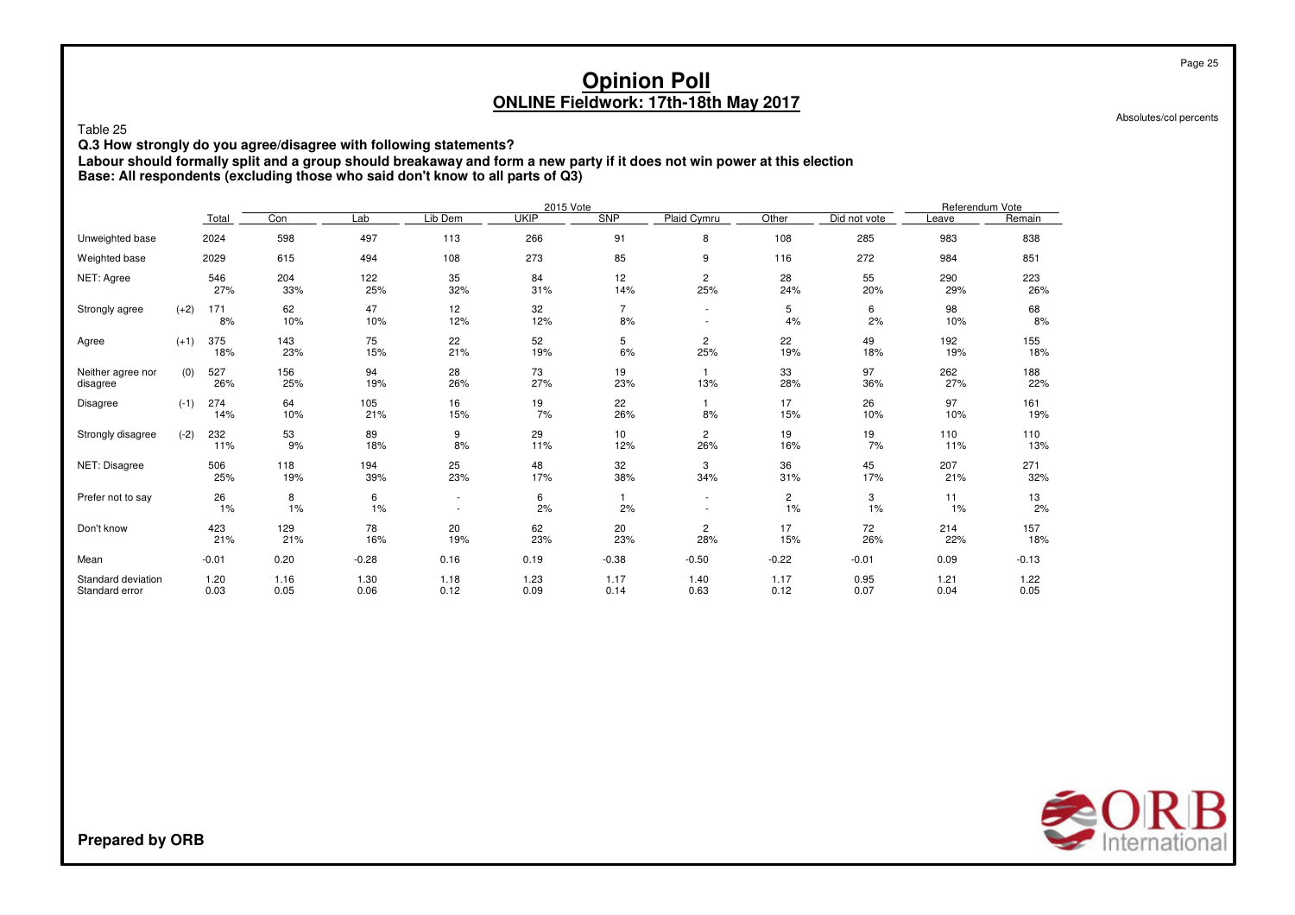Table <sup>25</sup>

**Q.3 How strongly do you agree/disagree with following statements?**

Labour should formally split and a group should breakaway and form a new party if it does not win power at this election<br>Base: All respondents (excluding those who said don't know to all parts of Q3)

|                                      |        |              |              |              |              | 2015 Vote    |                      |                                                      |                      |              | Referendum Vote |              |
|--------------------------------------|--------|--------------|--------------|--------------|--------------|--------------|----------------------|------------------------------------------------------|----------------------|--------------|-----------------|--------------|
|                                      |        | Total        | Con          | Lab          | Lib Dem      | <b>UKIP</b>  | <b>SNP</b>           | Plaid Cymru                                          | Other                | Did not vote | Leave           | Remain       |
| Unweighted base                      |        | 2024         | 598          | 497          | 113          | 266          | 91                   | 8                                                    | 108                  | 285          | 983             | 838          |
| Weighted base                        |        | 2029         | 615          | 494          | 108          | 273          | 85                   | 9                                                    | 116                  | 272          | 984             | 851          |
| NET: Agree                           |        | 546<br>27%   | 204<br>33%   | 122<br>25%   | 35<br>32%    | 84<br>31%    | 12<br>14%            | 2<br>25%                                             | 28<br>24%            | 55<br>20%    | 290<br>29%      | 223<br>26%   |
| Strongly agree                       | $(+2)$ | 171<br>8%    | 62<br>10%    | 47<br>10%    | 12<br>12%    | 32<br>12%    | $\overline{7}$<br>8% | ٠<br>٠                                               | 5<br>4%              | 6<br>2%      | 98<br>10%       | 68<br>8%     |
| Agree                                | $(+1)$ | 375<br>18%   | 143<br>23%   | 75<br>15%    | 22<br>21%    | 52<br>19%    | 5<br>6%              | 2<br>25%                                             | 22<br>19%            | 49<br>18%    | 192<br>19%      | 155<br>18%   |
| Neither agree nor<br>disagree        | (0)    | 527<br>26%   | 156<br>25%   | 94<br>19%    | 28<br>26%    | 73<br>27%    | 19<br>23%            | $\mathbf{1}$<br>13%                                  | 33<br>28%            | 97<br>36%    | 262<br>27%      | 188<br>22%   |
| Disagree                             | $(-1)$ | 274<br>14%   | 64<br>10%    | 105<br>21%   | 16<br>15%    | 19<br>7%     | 22<br>26%            | 1<br>8%                                              | 17<br>15%            | 26<br>10%    | 97<br>10%       | 161<br>19%   |
| Strongly disagree                    | $(-2)$ | 232<br>11%   | 53<br>9%     | 89<br>18%    | 9<br>8%      | 29<br>11%    | 10<br>12%            | 2<br>26%                                             | 19<br>16%            | 19<br>7%     | 110<br>11%      | 110<br>13%   |
| NET: Disagree                        |        | 506<br>25%   | 118<br>19%   | 194<br>39%   | 25<br>23%    | 48<br>17%    | 32<br>38%            | 3<br>34%                                             | 36<br>31%            | 45<br>17%    | 207<br>21%      | 271<br>32%   |
| Prefer not to say                    |        | 26<br>1%     | 8<br>1%      | 6<br>1%      | $\sim$<br>٠  | 6<br>2%      | 1.<br>2%             | $\overline{\phantom{a}}$<br>$\overline{\phantom{a}}$ | $\overline{c}$<br>1% | 3<br>1%      | 11<br>1%        | 13<br>2%     |
| Don't know                           |        | 423<br>21%   | 129<br>21%   | 78<br>16%    | 20<br>19%    | 62<br>23%    | 20<br>23%            | 2<br>28%                                             | 17<br>15%            | 72<br>26%    | 214<br>22%      | 157<br>18%   |
| Mean                                 |        | $-0.01$      | 0.20         | $-0.28$      | 0.16         | 0.19         | $-0.38$              | $-0.50$                                              | $-0.22$              | $-0.01$      | 0.09            | $-0.13$      |
| Standard deviation<br>Standard error |        | 1.20<br>0.03 | 1.16<br>0.05 | 1.30<br>0.06 | 1.18<br>0.12 | 1.23<br>0.09 | 1.17<br>0.14         | 1.40<br>0.63                                         | 1.17<br>0.12         | 0.95<br>0.07 | 1.21<br>0.04    | 1.22<br>0.05 |



Page 25

Absolutes/col percents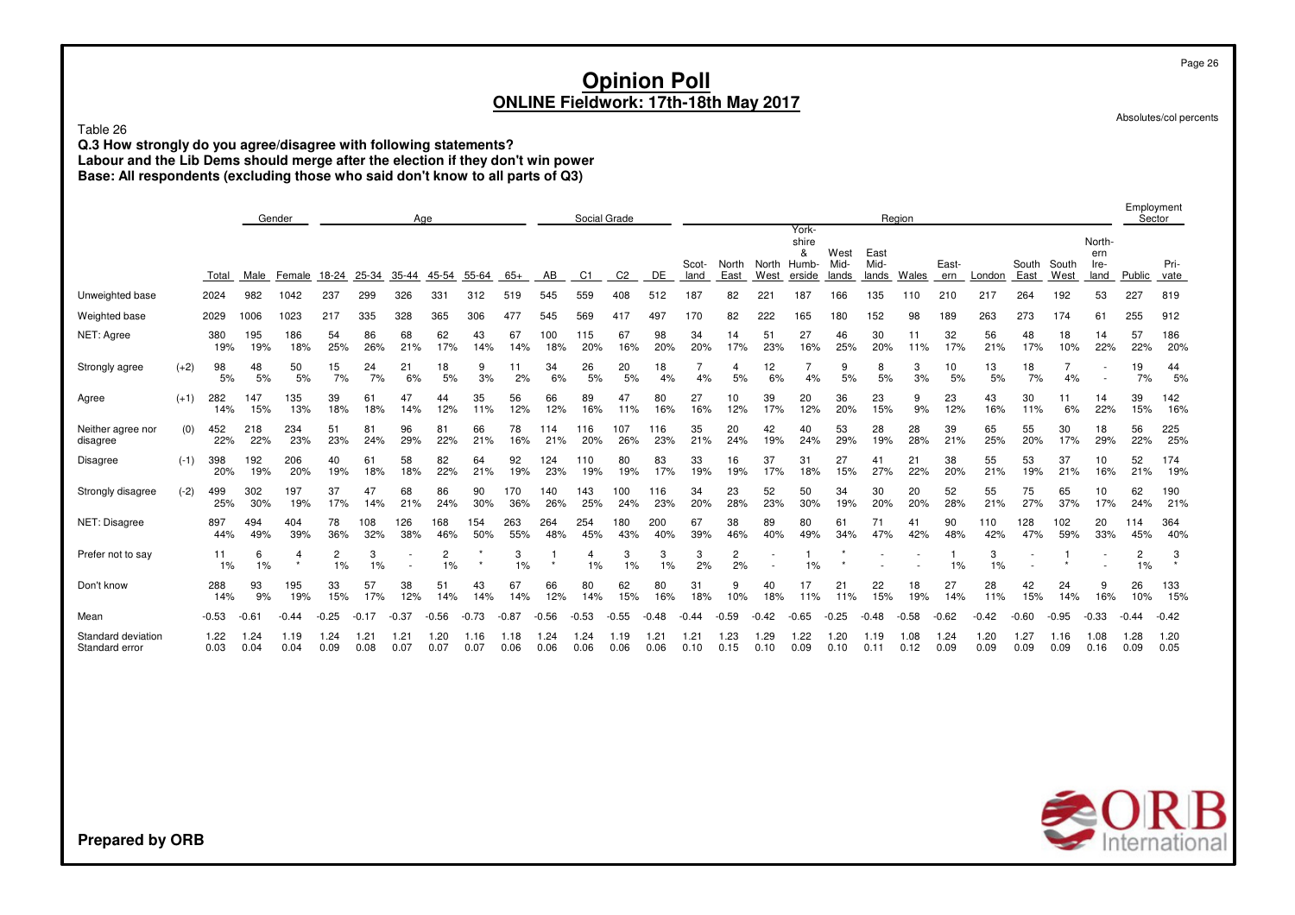Table 26

**Q.3 How strongly do you agree/disagree with following statements? Labour and the Lib Dems should merge after the election if they don't win power Base: All respondents (excluding those who said don't know to all parts of Q3)**

Employment<br>Sector Gender Age Social Grade Region Sector Yorkshire North- & West East ern Scot- North North Humb- Mid- Mid- East- South South Ire- Pri-**Total** Male Female 18-24 25-34 35-44 45-54 55-64 65+ ABC1 C2 DE land East West erside lands lands Wales ern London East West land Public vate Unweighted base 2024 982 1042 237 299 326 331 312 519 545 559 408 512 187 82 221 187 166 135 110 210 217 264 192 53 227 819 Weighted base 2029 1006 1023 217 335 328 365 306 477 569 417 497 170 82 222 165 180 152 98 189 263 273 174 61 255 912 NET: Agree 380 195 186 54 86 68 62 43 67 100 115 67 98 34 14 51 27 46 30 11 32 56 48 18 14 57 186 19% 19% 18% 25% 26% 21% 17% 14% 14% 18% 20% 16% 20% 20% 17% 23% 16% 25% 20% 11% 17% 21% 17% 10% 22% 22% 20% Strongly agree (+2) 98 48 50 15 24 21 18 9 11 34 26 20 18 7 4 12 7 9 8 3 10 13 18 7 - 19 44 5% 5% 5% 7% 7% 6% 5% 3% 2% 6% 5% 5% 4% 4% 5% 6% 4% 5% 5% 3% 5% 5% 7% 4% - 7% 5% Agree (+1) 282 147 135 39 61 47 44 35 56 66 89 47 80 27 10 39 20 36 23 9 23 43 30 11 14 39 142 14% 15% 13% 18% 18% 14% 12% 11% 12% 12% 16% 11% 16% 16% 12% 17% 12% 20% 15% 9% 12% 16% 11% 6% 22% 15% 16% Neither agree nor (0) 452 218 234 51 81 96 81 66 78 114 116 107 116 35 20 42 40 53 28 28 39 65 55 30 18 56 225 disagree 22% 22% 23% 23% 24% 29% 22% 21% 16% 21% 20% 26% 23% 21% 24% 19% 24% 29% 19% 28% 21% 25% 20% 17% 29% 22% 25% Disagree (-1) 398 192 206 40 61 58 82 64 92 124 110 80 83 33 16 37 31 27 41 21 38 55 53 37 10 52 174 20% 19% 20% 19% 18% 18% 22% 21% 19% 23% 19% 19% 17% 19% 19% 17% 18% 15% 27% 22% 20% 21% 19% 21% 16% 21% 19% Strongly disagree (-2) 499 302 197 37 47 68 86 90 170 140 143 100 116 34 23 52 50 34 30 20 52 55 75 65 10 62 190 25% 30% 19% 17% 14% 21% 24% 30% 36% 26% 25% 24% 23% 20% 28% 23% 30% 19% 20% 20% 28% 21% 27% 37% 17% 24% 21% NET: Disagree 897 494 404 78 108 126 168 154 263 264 254 180 200 67 38 89 80 61 71 41 90 110 128 102 20 114 364 44% 49% 39% 36% 32% 38% 46% 50% 55% 48% 45% 43% 40% 39% 46% 40% 49% 34% 47% 42% 48% 42% 47% 59% 33% 45% 40% Prefer not to say 11 6 4 2 3 - 2 \* 3 1 4 3 3 3 2 - 1 \* - - 1 3 - 1 - 2 3 1% 1% \* 1% 1% - 1% \* 1% \* 1% 1% 1% 2% 2% - 1% \* - - 1% 1% - \* - 1% \* Don't know 288 93 195 33 57 38 51 43 67 66 80 62 80 31 9 40 17 21 22 18 27 28 42 24 9 26 133 14% 9% 19% 15% 17% 12% 14% 14% 14% 12% 14% 15% 16% 18% 10% 18% 11% 11% 15% 19% 14% 11% 15% 14% 16% 10% 15% Mean -0.53 -0.61 -0.44 -0.25 -0.17 -0.37 -0.56 -0.73 -0.87 -0.56 -0.53 -0.55 -0.48 -0.44 -0.59 -0.42 -0.65 -0.25 -0.48 -0.58 -0.62 -0.42 -0.60 -0.95 -0.33 -0.44 -0.42 Standard deviation 1.22 1.24 1.19 1.24 1.21 1.21 1.20 1.16 1.18 1.24 1.24 1.19 1.21 1.21 1.23 1.29 1.22 1.20 1.19 1.08 1.24 1.20 1.27 1.16 1.08 1.28 1.20 Standard error 0.030.04 0.04 0.09 0.08 0.07 0.07 0.07 0.06 0.06 0.06 0.06 0.06 0.10 0.15 0.10 0.09 0.10 0.11 0.12 0.09 0.09 0.09 0.09 0.16 0.09 0.05



Absolutes/col percents

**Prepared by ORB**

Page 26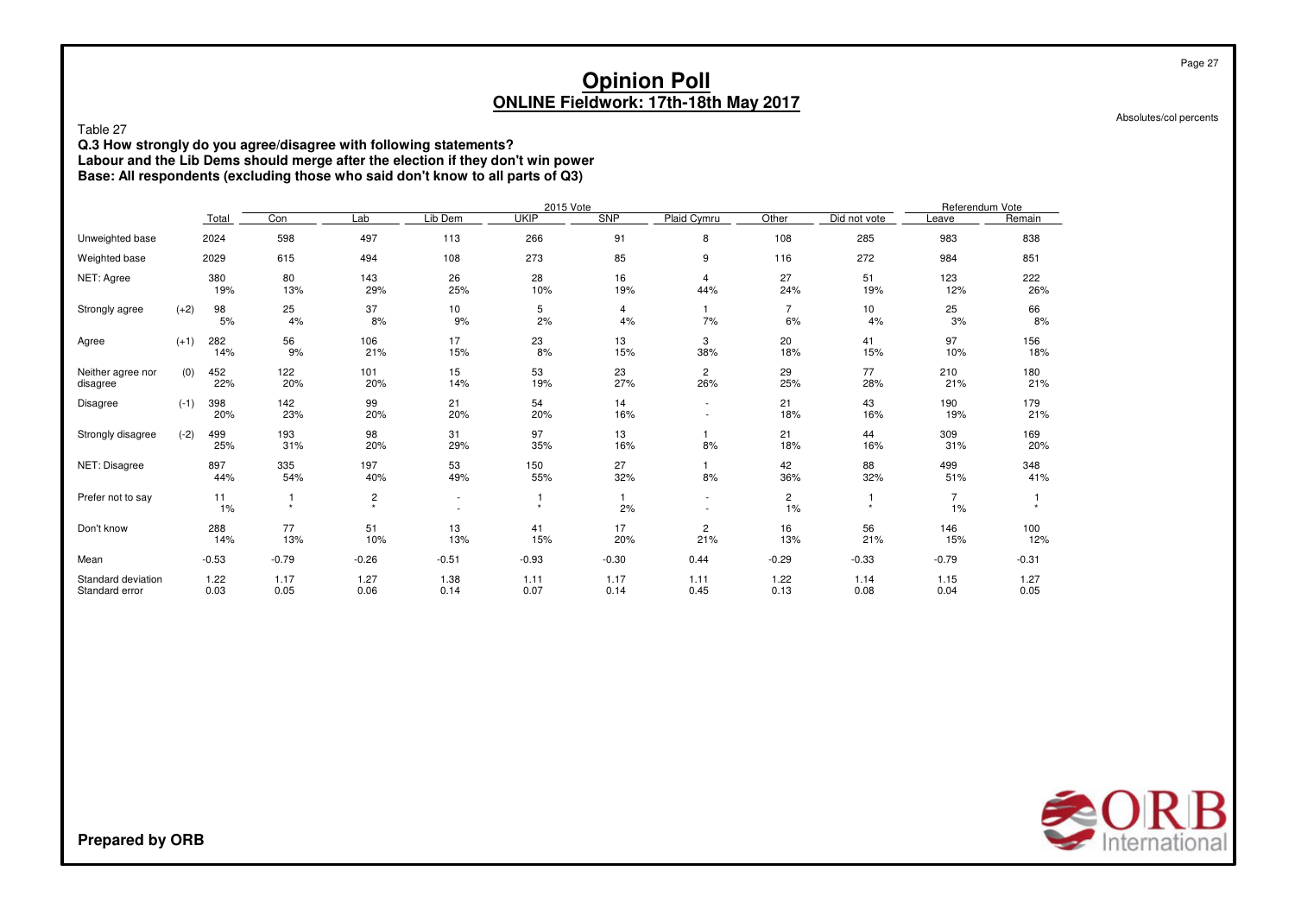Absolutes/col percents

Page 27

Table 27

 **Q.3 How strongly do you agree/disagree with following statements? Labour and the Lib Dems should merge after the election if they don't win power Base: All respondents (excluding those who said don't know to all parts of Q3)**

|                                      |        |              |              |              |                          | 2015 Vote    |              |                       |                      |              | Referendum Vote |              |
|--------------------------------------|--------|--------------|--------------|--------------|--------------------------|--------------|--------------|-----------------------|----------------------|--------------|-----------------|--------------|
|                                      |        | Total        | Con          | Lab          | Lib Dem                  | <b>UKIP</b>  | SNP          | Plaid Cymru           | Other                | Did not vote | Leave           | Remain       |
| Unweighted base                      |        | 2024         | 598          | 497          | 113                      | 266          | 91           | 8                     | 108                  | 285          | 983             | 838          |
| Weighted base                        |        | 2029         | 615          | 494          | 108                      | 273          | 85           | 9                     | 116                  | 272          | 984             | 851          |
| NET: Agree                           |        | 380<br>19%   | 80<br>13%    | 143<br>29%   | 26<br>25%                | 28<br>10%    | 16<br>19%    | 4<br>44%              | 27<br>24%            | 51<br>19%    | 123<br>12%      | 222<br>26%   |
| Strongly agree                       | $(+2)$ | 98<br>5%     | 25<br>4%     | 37<br>8%     | 10<br>9%                 | 5<br>2%      | 4<br>4%      | 7%                    | $\overline{7}$<br>6% | 10<br>4%     | 25<br>3%        | 66<br>8%     |
| Agree                                | $(+1)$ | 282<br>14%   | 56<br>9%     | 106<br>21%   | 17<br>15%                | 23<br>8%     | 13<br>15%    | 3<br>38%              | 20<br>18%            | 41<br>15%    | 97<br>10%       | 156<br>18%   |
| Neither agree nor<br>disagree        | (0)    | 452<br>22%   | 122<br>20%   | 101<br>20%   | 15<br>14%                | 53<br>19%    | 23<br>27%    | 2<br>26%              | 29<br>25%            | 77<br>28%    | 210<br>21%      | 180<br>21%   |
| Disagree                             | $(-1)$ | 398<br>20%   | 142<br>23%   | 99<br>20%    | 21<br>20%                | 54<br>20%    | 14<br>16%    | ٠<br>٠                | 21<br>18%            | 43<br>16%    | 190<br>19%      | 179<br>21%   |
| Strongly disagree                    | $(-2)$ | 499<br>25%   | 193<br>31%   | 98<br>20%    | 31<br>29%                | 97<br>35%    | 13<br>16%    | 8%                    | 21<br>18%            | 44<br>16%    | 309<br>31%      | 169<br>20%   |
| NET: Disagree                        |        | 897<br>44%   | 335<br>54%   | 197<br>40%   | 53<br>49%                | 150<br>55%   | 27<br>32%    | 8%                    | 42<br>36%            | 88<br>32%    | 499<br>51%      | 348<br>41%   |
| Prefer not to say                    |        | 11<br>1%     | $\star$      | 2<br>$\star$ | $\overline{\phantom{a}}$ | $\star$      | 2%           | ٠                     | $\overline{c}$<br>1% | $\star$      | 1%              |              |
| Don't know                           |        | 288<br>14%   | 77<br>13%    | 51<br>10%    | 13<br>13%                | 41<br>15%    | 17<br>20%    | $\overline{c}$<br>21% | 16<br>13%            | 56<br>21%    | 146<br>15%      | 100<br>12%   |
| Mean                                 |        | $-0.53$      | $-0.79$      | $-0.26$      | $-0.51$                  | $-0.93$      | $-0.30$      | 0.44                  | $-0.29$              | $-0.33$      | $-0.79$         | $-0.31$      |
| Standard deviation<br>Standard error |        | 1.22<br>0.03 | 1.17<br>0.05 | 1.27<br>0.06 | 1.38<br>0.14             | 1.11<br>0.07 | 1.17<br>0.14 | 1.11<br>0.45          | 1.22<br>0.13         | 1.14<br>0.08 | 1.15<br>0.04    | 1.27<br>0.05 |

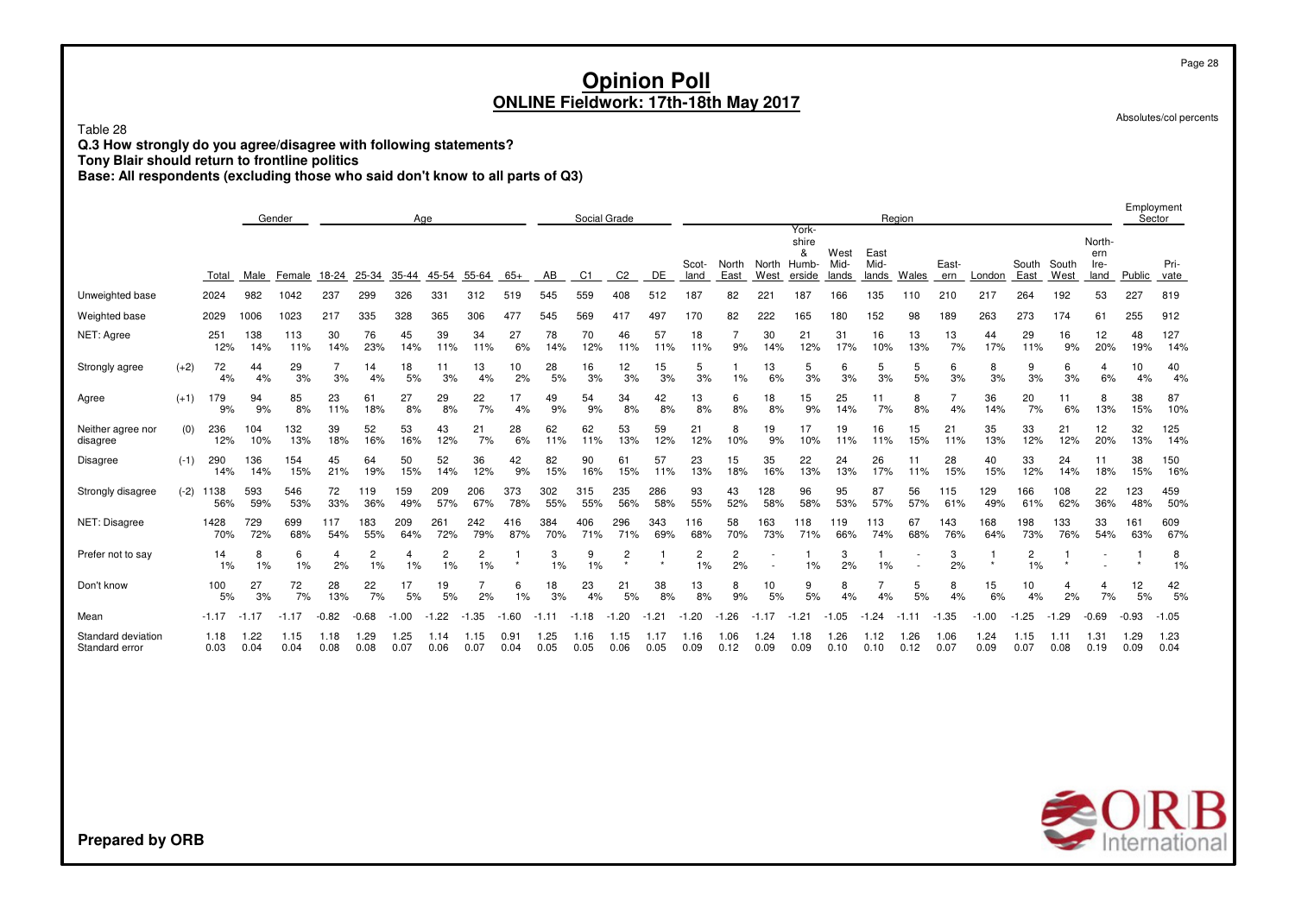Table 28

**Q.3 How strongly do you agree/disagree with following statements?**

**Tony Blair should return to frontline politics**

**Base: All respondents (excluding those who said don't know to all parts of Q3)**

|                                      |        | Gender<br>Age |              |              |              |              |              |              |              |              |              | Social Grade |                |              |                      |               |                 |                                        |                       |                       | Region       |              |              |               |               |                               | Employment   | Sector       |
|--------------------------------------|--------|---------------|--------------|--------------|--------------|--------------|--------------|--------------|--------------|--------------|--------------|--------------|----------------|--------------|----------------------|---------------|-----------------|----------------------------------------|-----------------------|-----------------------|--------------|--------------|--------------|---------------|---------------|-------------------------------|--------------|--------------|
|                                      |        | Total         | Male         | Female       | 18-24        | 25-34        | 35-44        | 45-54        | 55-64        | $65+$        | AB           | C1           | C <sub>2</sub> | DE           | Scot-<br>land        | North<br>East | North<br>West   | York-<br>shire<br>&<br>Humb-<br>erside | West<br>Mid-<br>lands | East<br>Mid-<br>lands | Wales        | East-<br>ern | London       | South<br>East | South<br>West | North-<br>ern<br>Ire-<br>land | Public       | Pri-<br>vate |
| Unweighted base                      |        | 2024          | 982          | 1042         | 237          | 299          | 326          | 331          | 312          | 519          | 545          | 559          | 408            | 512          | 187                  | 82            | 22 <sub>1</sub> | 187                                    | 166                   | 135                   | 110          | 210          | 217          | 264           | 192           | 53                            | 227          | 819          |
| Weighted base                        |        | 2029          | 1006         | 1023         | 217          | 335          | 328          | 365          | 306          | 477          | 545          | 569          | 417            | 497          | 170                  | 82            | 222             | 165                                    | 180                   | 152                   | 98           | 189          | 263          | 273           | 174           | 61                            | 255          | 912          |
| NET: Agree                           |        | 251<br>12%    | 138<br>14%   | 113<br>11%   | 30<br>14%    | 76<br>23%    | 45<br>14%    | 39<br>11%    | 34<br>11%    | 27<br>6%     | 78<br>14%    | 70<br>12%    | 46<br>11%      | 57<br>11%    | 18<br>11%            | 9%            | 30<br>14%       | 21<br>12%                              | 31<br>17%             | 16<br>10%             | 13<br>13%    | 13<br>7%     | 44<br>17%    | 29<br>11%     | 16<br>9%      | 12<br>20%                     | 48<br>19%    | 127<br>14%   |
| Strongly agree                       | $(+2)$ | 72<br>4%      | 44<br>4%     | 29<br>3%     | 3%           | 14<br>4%     | 18<br>5%     | 11<br>3%     | 13<br>4%     | 10<br>2%     | 28<br>5%     | 16<br>3%     | 12<br>3%       | 15<br>3%     | 5<br>3%              | 1%            | 13<br>6%        | 5<br>3%                                | 6<br>3%               | 5<br>3%               | 5<br>5%      | 6<br>3%      | 8<br>3%      | 9<br>3%       | 6<br>3%       | 4<br>6%                       | 10<br>4%     | 40<br>4%     |
| Agree                                | $(+1)$ | 179<br>9%     | 94<br>9%     | 85<br>8%     | 23<br>11%    | 61<br>18%    | 27<br>8%     | 29<br>8%     | 22<br>7%     | 17<br>4%     | 49<br>9%     | 54<br>9%     | 34<br>8%       | 42<br>8%     | 13<br>8%             | 6<br>8%       | 18<br>8%        | 15<br>9%                               | 25<br>14%             | 11<br>7%              | 8<br>8%      | 4%           | 36<br>14%    | 20<br>7%      | 11<br>6%      | 8<br>13%                      | 38<br>15%    | 87<br>10%    |
| Neither agree nor<br>disagree        | (0)    | 236<br>12%    | 104<br>10%   | 132<br>13%   | 39<br>18%    | 52<br>16%    | 53<br>16%    | 43<br>12%    | 21<br>7%     | 28<br>6%     | 62<br>11%    | 62<br>11%    | 53<br>13%      | 59<br>12%    | 21<br>12%            | 8<br>10%      | 19<br>9%        | 17<br>10%                              | 19<br>11%             | 16<br>11%             | 15<br>15%    | 21<br>11%    | 35<br>13%    | 33<br>12%     | 21<br>12%     | 12<br>20%                     | 32<br>13%    | 125<br>14%   |
| Disagree                             | $(-1)$ | 290<br>14%    | 136<br>14%   | 154<br>15%   | 45<br>21%    | 64<br>19%    | 50<br>15%    | 52<br>14%    | 36<br>12%    | 42<br>9%     | 82<br>15%    | 90<br>16%    | 61<br>15%      | 57<br>11%    | 23<br>13%            | 15<br>18%     | 35<br>16%       | 22<br>13%                              | 24<br>13%             | 26<br>17%             | 11<br>11%    | 28<br>15%    | 40<br>15%    | 33<br>12%     | 24<br>14%     | 11<br>18%                     | 38<br>15%    | 150<br>16%   |
| Strongly disagree                    | $(-2)$ | 1138<br>56%   | 593<br>59%   | 546<br>53%   | 72<br>33%    | 119<br>36%   | 159<br>49%   | 209<br>57%   | 206<br>67%   | 373<br>78%   | 302<br>55%   | 315<br>55%   | 235<br>56%     | 286<br>58%   | 93<br>55%            | 43<br>52%     | 128<br>58%      | 96<br>58%                              | 95<br>53%             | 87<br>57%             | 56<br>57%    | 115<br>61%   | 129<br>49%   | 166<br>61%    | 108<br>62%    | 22<br>36%                     | 123<br>48%   | 459<br>50%   |
| NET: Disagree                        |        | 1428<br>70%   | 729<br>72%   | 699<br>68%   | 117<br>54%   | 183<br>55%   | 209<br>64%   | 261<br>72%   | 242<br>79%   | 416<br>87%   | 384<br>70%   | 406<br>71%   | 296<br>71%     | 343<br>69%   | 116<br>68%           | 58<br>70%     | 163<br>73%      | 18<br>71%                              | 119<br>66%            | 113<br>74%            | 67<br>68%    | 143<br>76%   | 168<br>64%   | 198<br>73%    | 133<br>76%    | 33<br>54%                     | 161<br>63%   | 609<br>67%   |
| Prefer not to say                    |        | 14<br>1%      | 8<br>1%      | 6<br>1%      | 4<br>2%      | 2<br>1%      | 4<br>1%      | 1%           | 2<br>1%      | $\star$      | 3<br>1%      | 9<br>1%      | 2<br>$\star$   |              | $\overline{c}$<br>1% | 2<br>2%       |                 | 1%                                     | 3<br>2%               | 1%                    |              | 3<br>2%      | $\star$      | 2<br>1%       | $\star$       |                               |              | 8<br>1%      |
| Don't know                           |        | 100<br>5%     | 27<br>3%     | 72<br>7%     | 28<br>13%    | 22<br>7%     | 17<br>5%     | 19<br>5%     | 2%           | 6<br>1%      | 18<br>3%     | 23<br>4%     | 21<br>5%       | 38<br>8%     | 13<br>8%             | 8<br>9%       | 10<br>5%        | 9<br>5%                                | 8<br>4%               | 4%                    | 5<br>5%      | 8<br>4%      | 15<br>6%     | 10<br>4%      | 4<br>2%       | 4<br>7%                       | 12<br>5%     | 42<br>5%     |
| Mean                                 |        | $-1.17$       | $-1.17$      | $-1.17$      | $-0.82$      | $-0.68$      | $-1.00$      | .22          | .35<br>-1    | $-1.60$      | $-1.11$      | $-1.18$      | $-1.20$        | $-1.21$      | $-1.20$              | .26<br>-1     | $-1.17$         | $-1.21$                                | $-1.05$               | .24<br>-1             | $-1.11$      | $-1.35$      | $-1.00$      | .25           | $-1.29$       | $-0.69$                       | $-0.93$      | $-1.05$      |
| Standard deviation<br>Standard error |        | 1.18<br>0.03  | 1.22<br>0.04 | 1.15<br>0.04 | 1.18<br>0.08 | 1.29<br>0.08 | 1.25<br>0.07 | 1.14<br>0.06 | 1.15<br>0.07 | 0.91<br>0.04 | 1.25<br>0.05 | 1.16<br>0.05 | 1.15<br>0.06   | 1.17<br>0.05 | 1.16<br>0.09         | 1.06<br>0.12  | 1.24<br>0.09    | 1.18<br>0.09                           | 26. ا<br>0.10         | 1.12<br>0.10          | 1.26<br>0.12 | 1.06<br>0.07 | 1.24<br>0.09 | 1.15<br>0.07  | 1.11<br>0.08  | 1.31<br>0.19                  | 1.29<br>0.09 | 1.23<br>0.04 |



Page 28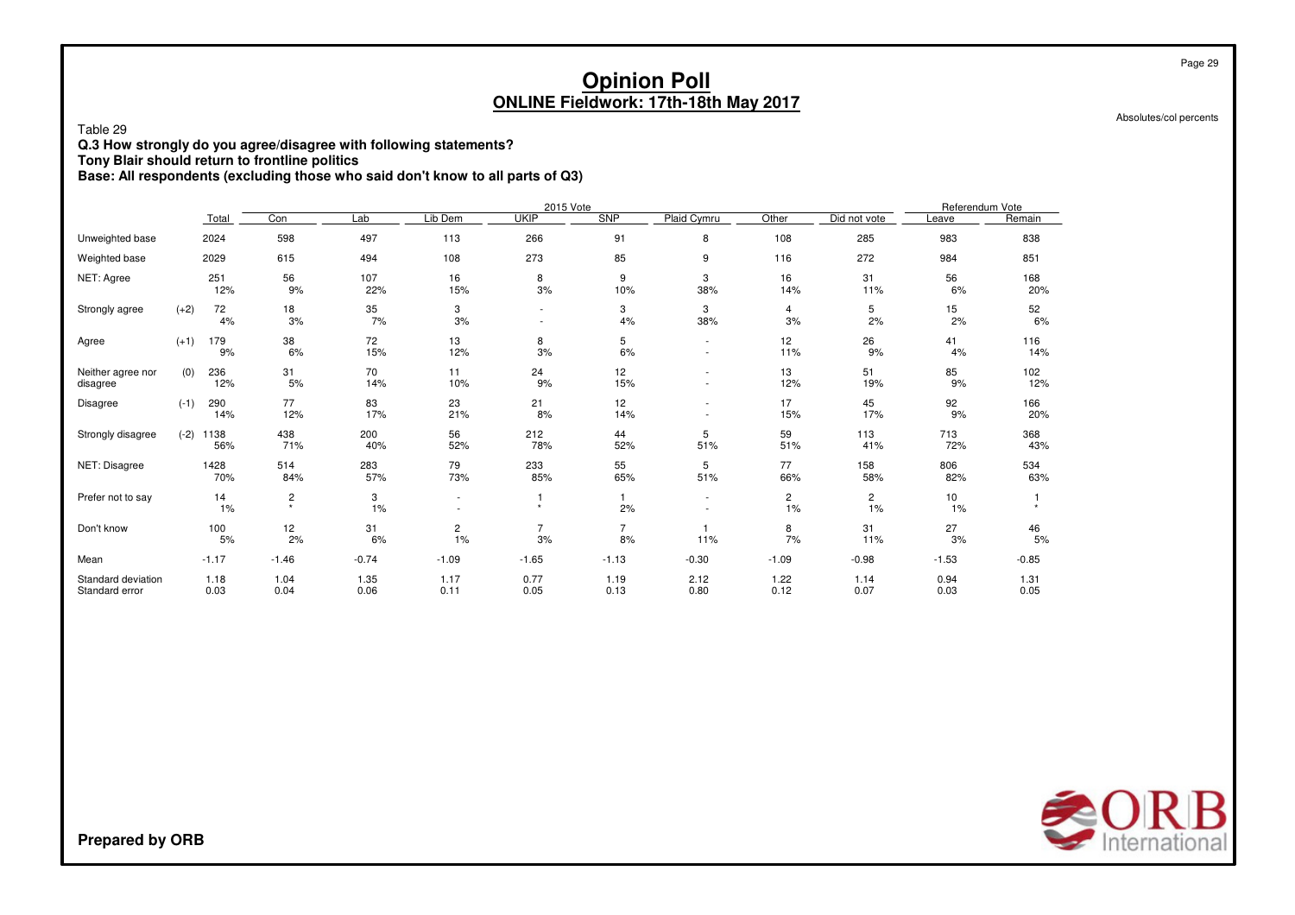Absolutes/col percents

Table 29

**Q.3 How strongly do you agree/disagree with following statements?**

**Tony Blair should return to frontline politics**

**Base: All respondents (excluding those who said don't know to all parts of Q3)**

|                                      |        |              |                                    |              |                          | 2015 Vote                                  |              |              |                      |                      | Referendum Vote |              |
|--------------------------------------|--------|--------------|------------------------------------|--------------|--------------------------|--------------------------------------------|--------------|--------------|----------------------|----------------------|-----------------|--------------|
|                                      |        | Total        | Con                                | Lab          | Lib Dem                  | <b>UKIP</b>                                | <b>SNP</b>   | Plaid Cymru  | Other                | Did not vote         | Leave           | Remain       |
| Unweighted base                      |        | 2024         | 598                                | 497          | 113                      | 266                                        | 91           | 8            | 108                  | 285                  | 983             | 838          |
| Weighted base                        |        | 2029         | 615                                | 494          | 108                      | 273                                        | 85           | 9            | 116                  | 272                  | 984             | 851          |
| NET: Agree                           |        | 251<br>12%   | 56<br>9%                           | 107<br>22%   | 16<br>15%                | 8<br>3%                                    | 9<br>10%     | 3<br>38%     | 16<br>14%            | 31<br>11%            | 56<br>6%        | 168<br>20%   |
| Strongly agree                       | $(+2)$ | 72<br>4%     | 18<br>3%                           | 35<br>7%     | 3<br>3%                  | $\overline{\phantom{a}}$<br>$\blacksquare$ | 3<br>4%      | 3<br>38%     | 4<br>3%              | 5<br>2%              | 15<br>2%        | 52<br>6%     |
| Agree                                | $(+1)$ | 179<br>9%    | 38<br>6%                           | 72<br>15%    | 13<br>12%                | 8<br>3%                                    | 5<br>6%      | ٠<br>$\sim$  | 12<br>11%            | 26<br>9%             | 41<br>4%        | 116<br>14%   |
| Neither agree nor<br>disagree        | (0)    | 236<br>12%   | 31<br>5%                           | 70<br>14%    | 11<br>10%                | 24<br>9%                                   | 12<br>15%    |              | 13<br>12%            | 51<br>19%            | 85<br>9%        | 102<br>12%   |
| Disagree                             | $(-1)$ | 290<br>14%   | 77<br>12%                          | 83<br>17%    | 23<br>21%                | 21<br>8%                                   | 12<br>14%    |              | 17<br>15%            | 45<br>17%            | 92<br>9%        | 166<br>20%   |
| Strongly disagree                    | $(-2)$ | 1138<br>56%  | 438<br>71%                         | 200<br>40%   | 56<br>52%                | 212<br>78%                                 | 44<br>52%    | 5<br>51%     | 59<br>51%            | 113<br>41%           | 713<br>72%      | 368<br>43%   |
| NET: Disagree                        |        | 1428<br>70%  | 514<br>84%                         | 283<br>57%   | 79<br>73%                | 233<br>85%                                 | 55<br>65%    | 5<br>51%     | 77<br>66%            | 158<br>58%           | 806<br>82%      | 534<br>63%   |
| Prefer not to say                    |        | 14<br>1%     | $\overline{\mathbf{c}}$<br>$\star$ | 3<br>1%      | $\overline{\phantom{a}}$ | 1<br>$\star$                               | 2%           | ٠            | $\overline{c}$<br>1% | $\overline{c}$<br>1% | 10<br>1%        |              |
| Don't know                           |        | 100<br>5%    | 12<br>2%                           | 31<br>6%     | $\overline{c}$<br>1%     | 7<br>3%                                    | 7<br>8%      | 11%          | 8<br>7%              | 31<br>11%            | 27<br>3%        | 46<br>5%     |
| Mean                                 |        | $-1.17$      | $-1.46$                            | $-0.74$      | $-1.09$                  | $-1.65$                                    | $-1.13$      | $-0.30$      | $-1.09$              | $-0.98$              | $-1.53$         | $-0.85$      |
| Standard deviation<br>Standard error |        | 1.18<br>0.03 | 1.04<br>0.04                       | 1.35<br>0.06 | 1.17<br>0.11             | 0.77<br>0.05                               | 1.19<br>0.13 | 2.12<br>0.80 | 1.22<br>0.12         | 1.14<br>0.07         | 0.94<br>0.03    | 1.31<br>0.05 |

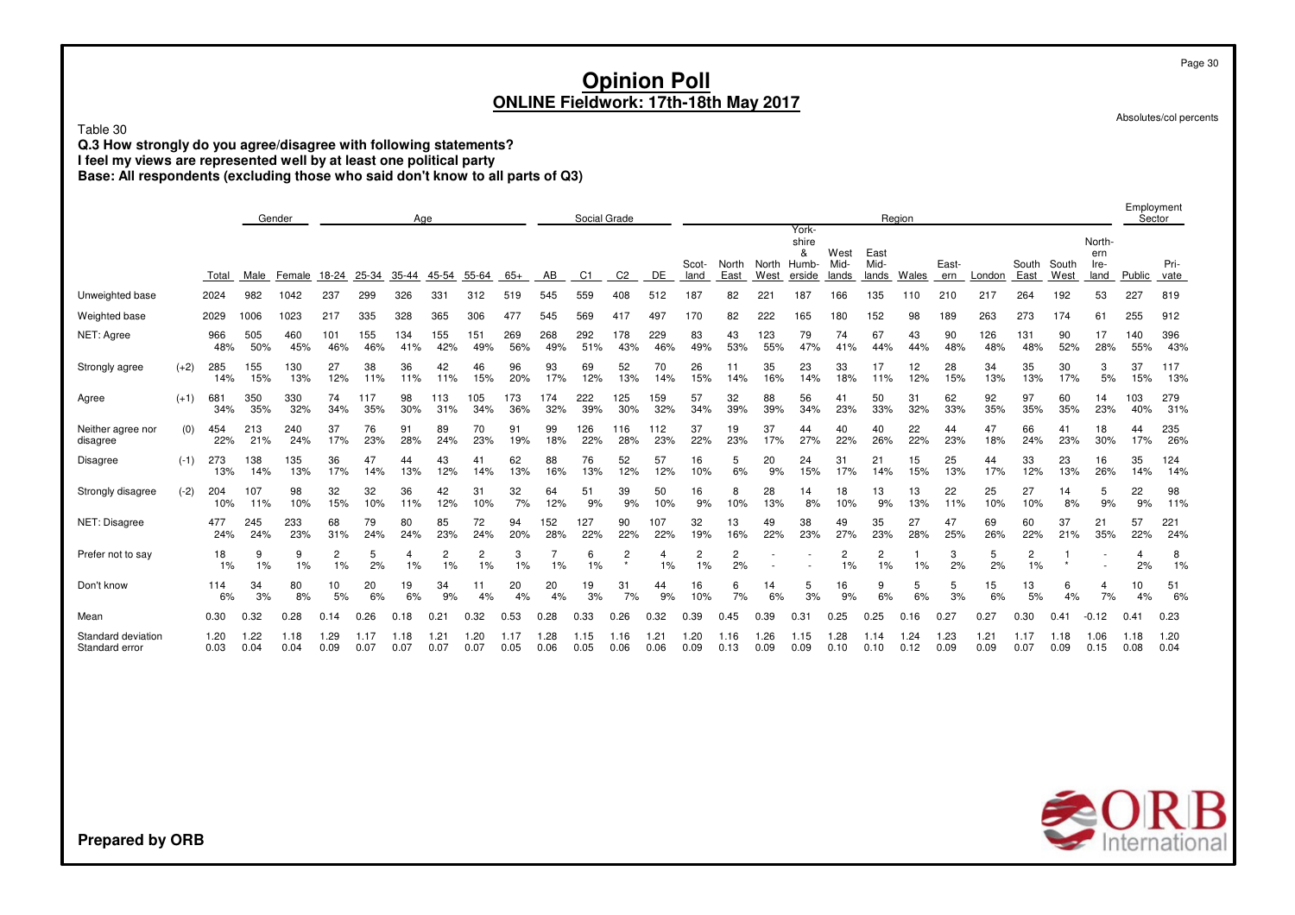Table 30

**Q.3 How strongly do you agree/disagree with following statements?**

**I feel my views are represented well by at least one political party**

**Base: All respondents (excluding those who said don't know to all parts of Q3)**

|                                      |        | Gender<br>Age |              |              |              |              |              |             |             |              |              | Social Grade |                |              |               |                      |               |                                        |                       |                       | Region       |              |              |                      |               |                               | Employment   | Sector       |
|--------------------------------------|--------|---------------|--------------|--------------|--------------|--------------|--------------|-------------|-------------|--------------|--------------|--------------|----------------|--------------|---------------|----------------------|---------------|----------------------------------------|-----------------------|-----------------------|--------------|--------------|--------------|----------------------|---------------|-------------------------------|--------------|--------------|
|                                      |        | Total         | Male         | Female       | 18-24        | 25-34        | 35-44        | 45-54       | 55-64       | $65+$        | AB           | C1           | C <sub>2</sub> | DE           | Scot-<br>land | North<br>East        | North<br>West | York-<br>shire<br>&<br>Humb-<br>erside | West<br>Mid-<br>lands | East<br>Mid-<br>lands | <b>Wales</b> | East-<br>ern | London       | South<br>East        | South<br>West | North-<br>ern<br>Ire-<br>land | Public       | Pri-<br>vate |
| Unweighted base                      |        | 2024          | 982          | 1042         | 237          | 299          | 326          | 331         | 312         | 519          | 545          | 559          | 408            | 512          | 187           | 82                   | 221           | 187                                    | 166                   | 135                   | 110          | 210          | 217          | 264                  | 192           | 53                            | 227          | 819          |
| Weighted base                        |        | 2029          | 1006         | 1023         | 217          | 335          | 328          | 365         | 306         | 477          | 545          | 569          | 417            | 497          | 170           | 82                   | 222           | 165                                    | 180                   | 152                   | 98           | 189          | 263          | 273                  | 174           | 61                            | 255          | 912          |
| NET: Agree                           |        | 966<br>48%    | 505<br>50%   | 460<br>45%   | 101<br>46%   | 155<br>46%   | 134<br>41%   | 155<br>42%  | 151<br>49%  | 269<br>56%   | 268<br>49%   | 292<br>51%   | 178<br>43%     | 229<br>46%   | 83<br>49%     | 43<br>53%            | 123<br>55%    | 79<br>47%                              | 74<br>41%             | 67<br>44%             | 43<br>44%    | 90<br>48%    | 126<br>48%   | 131<br>48%           | 90<br>52%     | 17<br>28%                     | 140<br>55%   | 396<br>43%   |
| Strongly agree                       | $(+2)$ | 285<br>14%    | 155<br>15%   | 130<br>13%   | 27<br>12%    | 38<br>11%    | 36<br>11%    | 42<br>11%   | 46<br>15%   | 96<br>20%    | 93<br>17%    | 69<br>12%    | 52<br>13%      | 70<br>14%    | 26<br>15%     | 11<br>14%            | 35<br>16%     | 23<br>14%                              | 33<br>18%             | 17<br>11%             | 12<br>12%    | 28<br>15%    | 34<br>13%    | 35<br>13%            | 30<br>17%     | 3<br>5%                       | 37<br>15%    | 117<br>13%   |
| Agree                                | $(+1)$ | 681<br>34%    | 350<br>35%   | 330<br>32%   | 74<br>34%    | 117<br>35%   | 98<br>30%    | 113<br>31%  | 105<br>34%  | 173<br>36%   | 174<br>32%   | 222<br>39%   | 125<br>30%     | 159<br>32%   | 57<br>34%     | 32<br>39%            | 88<br>39%     | 56<br>34%                              | 41<br>23%             | 50<br>33%             | 31<br>32%    | 62<br>33%    | 92<br>35%    | 97<br>35%            | 60<br>35%     | 14<br>23%                     | 103<br>40%   | 279<br>31%   |
| Neither agree nor<br>disagree        | (0)    | 454<br>22%    | 213<br>21%   | 240<br>24%   | 37<br>17%    | 76<br>23%    | 91<br>28%    | 89<br>24%   | 70<br>23%   | 91<br>19%    | 99<br>18%    | 126<br>22%   | 116<br>28%     | 112<br>23%   | 37<br>22%     | 19<br>23%            | 37<br>17%     | 44<br>27%                              | 40<br>22%             | 40<br>26%             | 22<br>22%    | 44<br>23%    | 47<br>18%    | 66<br>24%            | 41<br>23%     | 18<br>30%                     | 44<br>17%    | 235<br>26%   |
| Disagree                             | $(-1)$ | 273<br>13%    | 138<br>14%   | 135<br>13%   | 36<br>17%    | 47<br>14%    | 44<br>13%    | 43<br>12%   | 41<br>14%   | 62<br>13%    | 88<br>16%    | 76<br>13%    | 52<br>12%      | 57<br>12%    | 16<br>10%     | 5<br>6%              | 20<br>9%      | 24<br>15%                              | 31<br>17%             | 21<br>14%             | 15<br>15%    | 25<br>13%    | 44<br>17%    | 33<br>12%            | 23<br>13%     | 16<br>26%                     | 35<br>14%    | 124<br>14%   |
| Strongly disagree                    | $(-2)$ | 204<br>10%    | 107<br>11%   | 98<br>10%    | 32<br>15%    | 32<br>10%    | 36<br>11%    | 42<br>12%   | 31<br>10%   | 32<br>7%     | 64<br>12%    | 51<br>9%     | 39<br>9%       | 50<br>10%    | 16<br>9%      | 8<br>10%             | 28<br>13%     | 14<br>8%                               | 18<br>10%             | 13<br>9%              | 13<br>13%    | 22<br>11%    | 25<br>10%    | 27<br>10%            | 14<br>8%      | 5<br>9%                       | 22<br>9%     | 98<br>11%    |
| NET: Disagree                        |        | 477<br>24%    | 245<br>24%   | 233<br>23%   | 68<br>31%    | 79<br>24%    | 80<br>24%    | 85<br>23%   | 72<br>24%   | 94<br>20%    | 152<br>28%   | 127<br>22%   | 90<br>22%      | 107<br>22%   | 32<br>19%     | 13<br>16%            | 49<br>22%     | 38<br>23%                              | 49<br>27%             | 35<br>23%             | 27<br>28%    | 47<br>25%    | 69<br>26%    | 60<br>22%            | 37<br>21%     | 21<br>35%                     | 57<br>22%    | 221<br>24%   |
| Prefer not to say                    |        | 18<br>1%      | 9<br>1%      | 9<br>1%      | 2<br>1%      | 5<br>2%      | 1%           | 2<br>1%     | 2<br>1%     | 3<br>1%      | 1%           | 6<br>1%      | 2              | 4<br>1%      | 2<br>1%       | $\overline{c}$<br>2% |               |                                        | 2<br>1%               | 2<br>1%               | 1%           | 3<br>2%      | 5<br>2%      | $\overline{c}$<br>1% |               |                               | 4<br>2%      | 8<br>1%      |
| Don't know                           |        | 114<br>6%     | 34<br>3%     | 80<br>8%     | 10<br>5%     | 20<br>6%     | 19<br>6%     | 34<br>9%    | 11<br>4%    | 20<br>4%     | 20<br>4%     | 19<br>3%     | 31<br>7%       | 44<br>9%     | 16<br>10%     | 6<br>7%              | 14<br>6%      | 5<br>3%                                | 16<br>9%              | 9<br>6%               | 5<br>6%      | 5<br>3%      | 15<br>6%     | 13<br>5%             | 6<br>4%       | 4<br>7%                       | 10<br>4%     | 51<br>6%     |
| Mean                                 |        | 0.30          | 0.32         | 0.28         | 0.14         |              | 0.18         | 0.21        | .32         | 0.53         | 0.28         | 0.33         | 0.26           | 0.32         | 0.39          | 0.45                 | .39           | 0.31                                   | 0.25                  | 0.25                  | 0.16         | 0.27         | 0.27         | 0.30                 | $0.4^{\circ}$ | .12                           | 0.4          | 0.23         |
| Standard deviation<br>Standard error |        | 1.20<br>0.03  | 1.22<br>0.04 | 1.18<br>0.04 | 1.29<br>0.09 | 1.17<br>0.07 | 1.18<br>0.07 | .21<br>0.07 | .20<br>0.07 | 1.17<br>0.05 | 1.28<br>0.06 | 1.15<br>0.05 | 1.16<br>0.06   | 1.21<br>0.06 | 1.20<br>0.09  | 1.16<br>0.13         | 1.26<br>0.09  | 1.15<br>0.09                           | .28<br>0.10           | 1.14<br>0.10          | 1.24<br>0.12 | 1.23<br>0.09 | 1.21<br>0.09 | 1.17<br>0.07         | 1.18<br>0.09  | 1.06<br>0.15                  | 1.18<br>0.08 | 1.20<br>0.04 |



**Prepared by ORB**

Page 30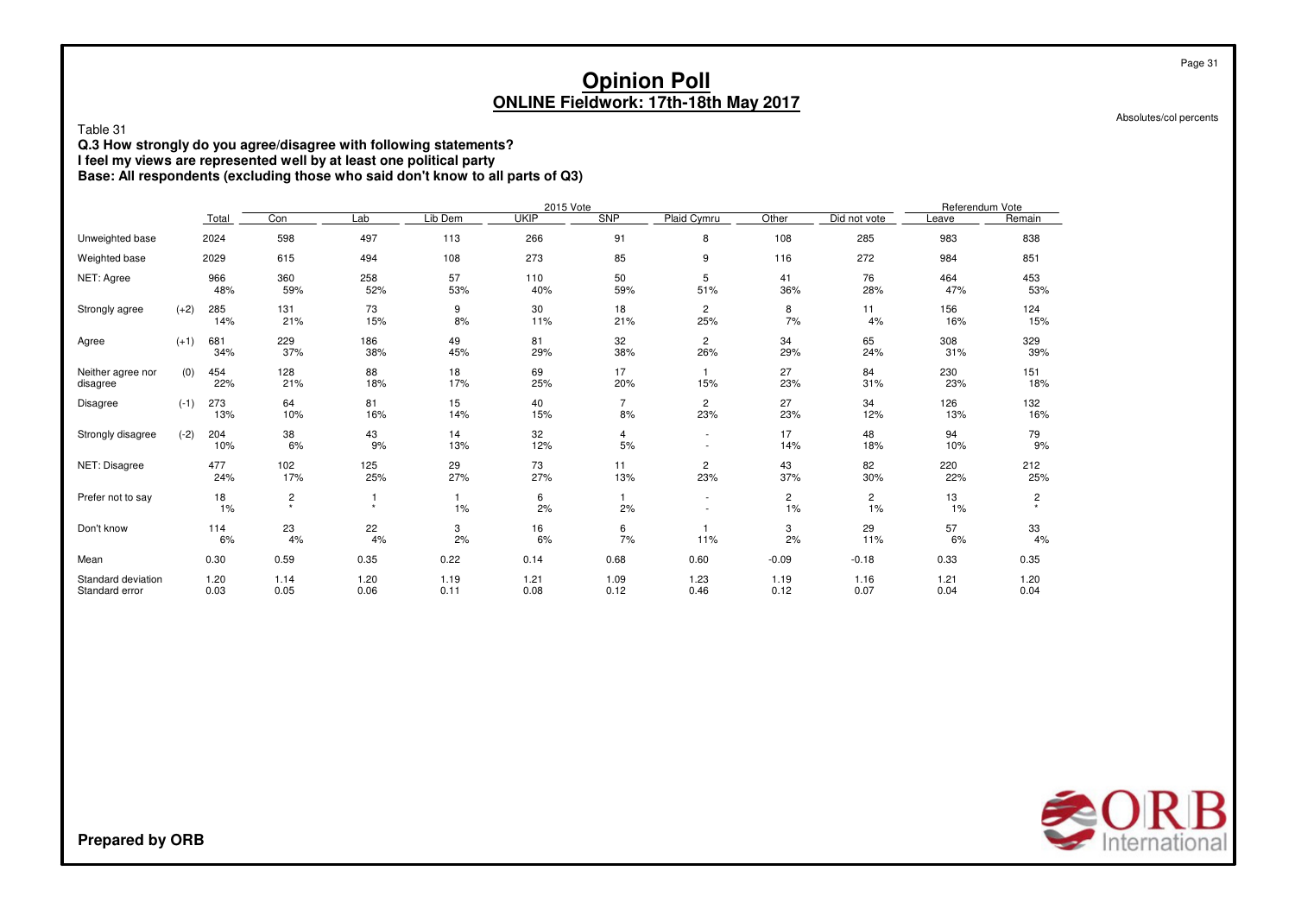Absolutes/col percents

Page 31

Table 31

**Q.3 How strongly do you agree/disagree with following statements?**

**I feel my views are represented well by at least one political party**

**Base: All respondents (excluding those who said don't know to all parts of Q3)**

|                                      |        |              |               |              |              | 2015 Vote    |                      |                               |                      |              | Referendum Vote |              |
|--------------------------------------|--------|--------------|---------------|--------------|--------------|--------------|----------------------|-------------------------------|----------------------|--------------|-----------------|--------------|
|                                      |        | Total        | Con           | Lab          | Lib Dem      | <b>UKIP</b>  | <b>SNP</b>           | Plaid Cymru                   | Other                | Did not vote | Leave           | Remain       |
| Unweighted base                      |        | 2024         | 598           | 497          | 113          | 266          | 91                   | 8                             | 108                  | 285          | 983             | 838          |
| Weighted base                        |        | 2029         | 615           | 494          | 108          | 273          | 85                   | 9                             | 116                  | 272          | 984             | 851          |
| NET: Agree                           |        | 966<br>48%   | 360<br>59%    | 258<br>52%   | 57<br>53%    | 110<br>40%   | 50<br>59%            | 5<br>51%                      | 41<br>36%            | 76<br>28%    | 464<br>47%      | 453<br>53%   |
| Strongly agree                       | $(+2)$ | 285<br>14%   | 131<br>21%    | 73<br>15%    | 9<br>8%      | 30<br>11%    | 18<br>21%            | $\overline{c}$<br>25%         | 8<br>7%              | 11<br>4%     | 156<br>16%      | 124<br>15%   |
| Agree                                | $(+1)$ | 681<br>34%   | 229<br>37%    | 186<br>38%   | 49<br>45%    | 81<br>29%    | 32<br>38%            | 2<br>26%                      | 34<br>29%            | 65<br>24%    | 308<br>31%      | 329<br>39%   |
| Neither agree nor<br>disagree        | (0)    | 454<br>22%   | 128<br>21%    | 88<br>18%    | 18<br>17%    | 69<br>25%    | 17<br>20%            | $\mathbf{1}$<br>15%           | 27<br>23%            | 84<br>31%    | 230<br>23%      | 151<br>18%   |
| Disagree                             | $(-1)$ | 273<br>13%   | 64<br>10%     | 81<br>16%    | 15<br>14%    | 40<br>15%    | $\overline{7}$<br>8% | 2<br>23%                      | 27<br>23%            | 34<br>12%    | 126<br>13%      | 132<br>16%   |
| Strongly disagree                    | $(-2)$ | 204<br>10%   | 38<br>6%      | 43<br>9%     | 14<br>13%    | 32<br>12%    | 4<br>5%              | $\overline{\phantom{a}}$<br>٠ | 17<br>14%            | 48<br>18%    | 94<br>10%       | 79<br>9%     |
| NET: Disagree                        |        | 477<br>24%   | 102<br>17%    | 125<br>25%   | 29<br>27%    | 73<br>27%    | 11<br>13%            | 2<br>23%                      | 43<br>37%            | 82<br>30%    | 220<br>22%      | 212<br>25%   |
| Prefer not to say                    |        | 18<br>1%     | $\frac{2}{x}$ | $\ddot{}$    | 1%           | 6<br>2%      | 2%                   | ÷.                            | $\overline{c}$<br>1% | 2<br>1%      | 13<br>1%        | 2            |
| Don't know                           |        | 114<br>6%    | 23<br>4%      | 22<br>4%     | 3<br>2%      | 16<br>6%     | 6<br>7%              | 11%                           | 3<br>2%              | 29<br>11%    | 57<br>6%        | 33<br>4%     |
| Mean                                 |        | 0.30         | 0.59          | 0.35         | 0.22         | 0.14         | 0.68                 | 0.60                          | $-0.09$              | $-0.18$      | 0.33            | 0.35         |
| Standard deviation<br>Standard error |        | 1.20<br>0.03 | 1.14<br>0.05  | 1.20<br>0.06 | 1.19<br>0.11 | 1.21<br>0.08 | 1.09<br>0.12         | 1.23<br>0.46                  | 1.19<br>0.12         | 1.16<br>0.07 | 1.21<br>0.04    | 1.20<br>0.04 |

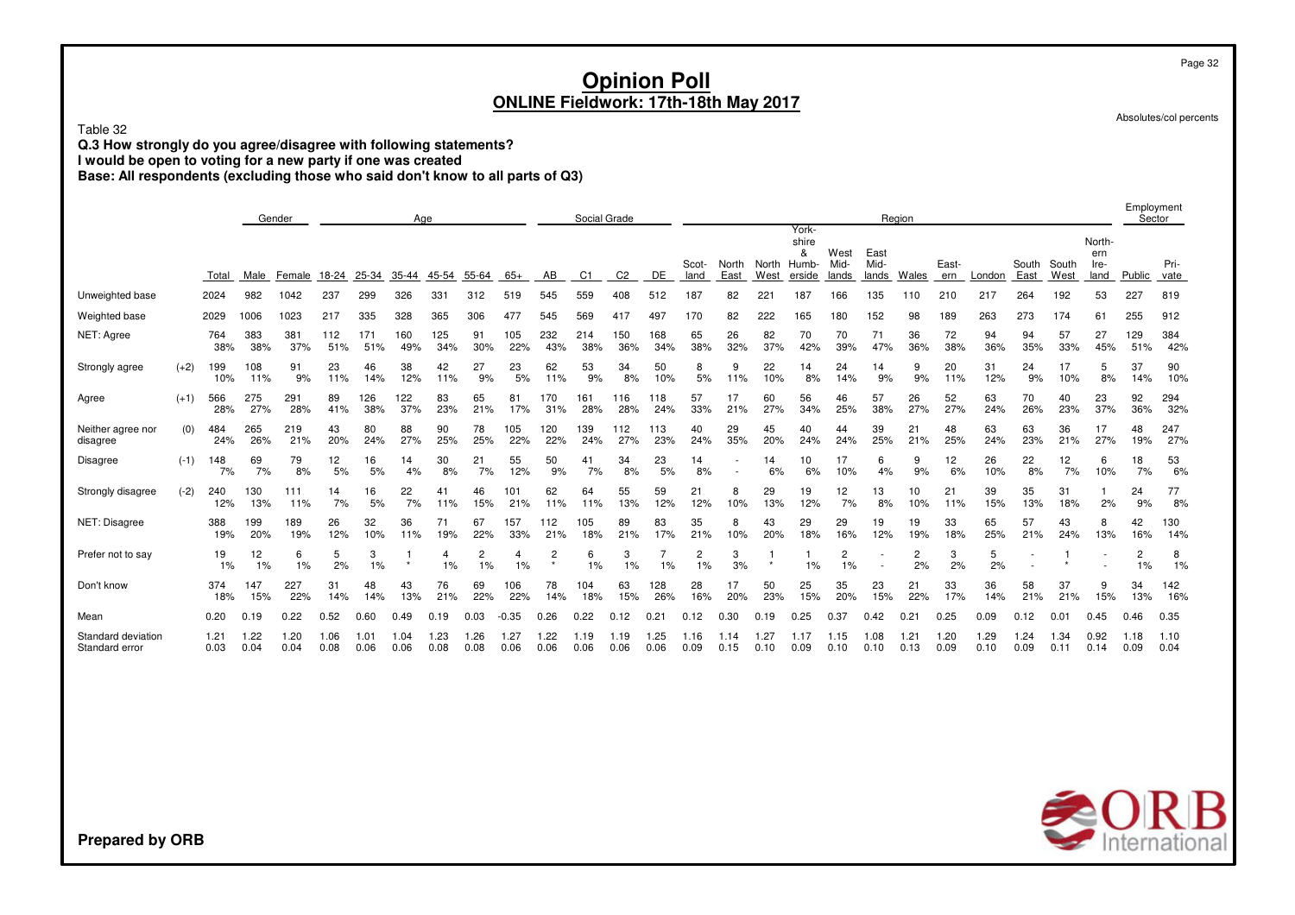Table 32

 **Q.3 How strongly do you agree/disagree with following statements? I would be open to voting for a new party if one was created**

**Base: All respondents (excluding those who said don't know to all parts of Q3)**

|                                      |        |              | Gender<br>Age |              |              |              |              |              |              |              |                           | Social Grade |                |               |                      |               |               |                                        |                       |                       | Region       |              |              |               |               |                               | Employment<br>Sector |              |
|--------------------------------------|--------|--------------|---------------|--------------|--------------|--------------|--------------|--------------|--------------|--------------|---------------------------|--------------|----------------|---------------|----------------------|---------------|---------------|----------------------------------------|-----------------------|-----------------------|--------------|--------------|--------------|---------------|---------------|-------------------------------|----------------------|--------------|
|                                      |        | Total        | Male          | Female       | 18-24        | 25-34        | 35-44        | 45-54        | 55-64        | $65+$        | AB                        | C1           | C <sub>2</sub> | DE            | Scot-<br>land        | North<br>East | North<br>West | York-<br>shire<br>ጼ<br>Humb-<br>erside | West<br>Mid-<br>lands | East<br>Mid-<br>lands | Wales        | East-<br>ern | London       | South<br>East | South<br>West | North-<br>ern<br>Ire-<br>land | Public               | Pri-<br>vate |
| Unweighted base                      |        | 2024         | 982           | 1042         | 237          | 299          | 326          | 331          | 312          | 519          | 545                       | 559          | 408            | 512           | 187                  | 82            | 221           | 187                                    | 166                   | 135                   | 110          | 210          | 217          | 264           | 192           | 53                            | 227                  | 819          |
| Weighted base                        |        | 2029         | 1006          | 1023         | 217          | 335          | 328          | 365          | 306          | 477          | 545                       | 569          | 417            | 497           | 170                  | 82            | 222           | 65                                     | 180                   | 152                   | 98           | 189          | 263          | 273           | 174           | 61                            | 255                  | 912          |
| NET: Agree                           |        | 764<br>38%   | 383<br>38%    | 381<br>37%   | 112<br>51%   | 171<br>51%   | 160<br>49%   | 125<br>34%   | 91<br>30%    | 105<br>22%   | 232<br>43%                | 214<br>38%   | 150<br>36%     | 168<br>34%    | 65<br>38%            | 26<br>32%     | 82<br>37%     | 70<br>42%                              | 70<br>39%             | 71<br>47%             | 36<br>36%    | 72<br>38%    | 94<br>36%    | 94<br>35%     | 57<br>33%     | 27<br>45%                     | 129<br>51%           | 384<br>42%   |
| Strongly agree                       | $(+2)$ | 199<br>10%   | 108<br>11%    | 91<br>9%     | 23<br>11%    | 46<br>14%    | 38<br>12%    | 42<br>11%    | 27<br>9%     | 23<br>5%     | 62<br>11%                 | 53<br>9%     | 34<br>8%       | 50<br>10%     | 8<br>5%              | 9<br>11%      | 22<br>10%     | 14<br>8%                               | 24<br>14%             | 14<br>9%              | 9<br>9%      | 20<br>11%    | 31<br>12%    | 24<br>9%      | 17<br>10%     | 5<br>8%                       | 37<br>14%            | 90<br>10%    |
| Agree                                | $(+1)$ | 566<br>28%   | 275<br>27%    | 291<br>28%   | 89<br>41%    | 126<br>38%   | 122<br>37%   | 83<br>23%    | 65<br>21%    | 81<br>17%    | 170<br>31%                | 161<br>28%   | 116<br>28%     | 118<br>24%    | 57<br>33%            | 17<br>21%     | 60<br>27%     | 56<br>34%                              | 46<br>25%             | 57<br>38%             | 26<br>27%    | 52<br>27%    | 63<br>24%    | 70<br>26%     | 40<br>23%     | 23<br>37%                     | 92<br>36%            | 294<br>32%   |
| Neither agree nor<br>disagree        | (0)    | 484<br>24%   | 265<br>26%    | 219<br>21%   | 43<br>20%    | 80<br>24%    | 88<br>27%    | 90<br>25%    | 78<br>25%    | 105<br>22%   | 120<br>22%                | 139<br>24%   | 112<br>27%     | 113<br>23%    | 40<br>24%            | 29<br>35%     | 45<br>20%     | 40<br>24%                              | 44<br>24%             | 39<br>25%             | 21<br>21%    | 48<br>25%    | 63<br>24%    | 63<br>23%     | 36<br>21%     | 17<br>27%                     | 48<br>19%            | 247<br>27%   |
| Disagree                             | $(-1)$ | 148<br>7%    | 69<br>7%      | 79<br>8%     | 12<br>5%     | 16<br>5%     | 14<br>4%     | 30<br>8%     | 21<br>7%     | 55<br>12%    | 50<br>9%                  | 41<br>7%     | 34<br>8%       | 23<br>5%      | 14<br>8%             |               | 14<br>6%      | 10<br>6%                               | 17<br>10%             | 6<br>4%               | 9<br>9%      | 12<br>6%     | 26<br>10%    | 22<br>8%      | 12<br>7%      | 6<br>10%                      | 18<br>7%             | 53<br>6%     |
| Strongly disagree                    | $(-2)$ | 240<br>12%   | 130<br>13%    | 111<br>11%   | 14<br>7%     | 16<br>5%     | 22<br>7%     | 41<br>11%    | 46<br>15%    | 101<br>21%   | 62<br>11%                 | 64<br>11%    | 55<br>13%      | 59<br>12%     | 21<br>12%            | 8<br>10%      | 29<br>13%     | 19<br>12%                              | 12<br>7%              | 13<br>8%              | 10<br>10%    | 21<br>11%    | 39<br>15%    | 35<br>13%     | 31<br>18%     | 2%                            | 24<br>9%             | 77<br>8%     |
| NET: Disagree                        |        | 388<br>19%   | 199<br>20%    | 189<br>19%   | 26<br>12%    | 32<br>10%    | 36<br>11%    | 71<br>19%    | 67<br>22%    | 157<br>33%   | 12<br>21%                 | 105<br>18%   | 89<br>21%      | 83<br>17%     | 35<br>21%            | 8<br>10%      | 43<br>20%     | 29<br>18%                              | 29<br>16%             | 19<br>12%             | 19<br>19%    | 33<br>18%    | 65<br>25%    | 57<br>21%     | 43<br>24%     | 8<br>13%                      | 42<br>16%            | 130<br>14%   |
| Prefer not to say                    |        | 19<br>1%     | 12<br>1%      | 6<br>1%      | 5<br>2%      | 3<br>1%      |              | 4<br>1%      | 2<br>1%      | 4<br>1%      | $\overline{c}$<br>$\star$ | 6<br>1%      | 3<br>1%        | 1%            | $\overline{2}$<br>1% | 3<br>3%       |               | 1%                                     | 2<br>1%               |                       | 2<br>2%      | 3<br>2%      | 5<br>2%      |               |               |                               | $\overline{2}$<br>1% | 8<br>1%      |
| Don't know                           |        | 374<br>18%   | 147<br>15%    | 227<br>22%   | 31<br>14%    | 48<br>14%    | 43<br>13%    | 76<br>21%    | 69<br>22%    | 106<br>22%   | 78<br>14%                 | 104<br>18%   | 63<br>15%      | 128<br>26%    | 28<br>16%            | 17<br>20%     | 50<br>23%     | 25<br>15%                              | 35<br>20%             | 23<br>15%             | 21<br>22%    | 33<br>17%    | 36<br>14%    | 58<br>21%     | 37<br>21%     | 9<br>15%                      | 34<br>13%            | 142<br>16%   |
| Mean                                 |        | 0.20         | 0.19          | 0.22         | 0.52         | 0.60         | 0.49         |              | 0.03         | $-0.35$      | 0.26                      | 0.22         | 0.12           | $0.2^{\circ}$ | 0.12                 | 0.30          | 0.19          | .25                                    | 0.37                  | 0.42                  | 0.21         | 0.25         | 0.09         | 0.12          | 0.01          | 0.45                          | 0.46                 | 0.35         |
| Standard deviation<br>Standard error |        | 1.21<br>0.03 | 1.22<br>0.04  | 1.20<br>0.04 | 1.06<br>0.08 | 1.01<br>0.06 | 1.04<br>0.06 | 1.23<br>0.08 | l.26<br>0.08 | 1.27<br>0.06 | 1.22<br>0.06              | 1.19<br>0.06 | 1.19<br>0.06   | 1.25<br>0.06  | 1.16<br>0.09         | 1.14<br>0.15  | .27<br>0.10   | 1.17<br>0.09                           | 1.15<br>0.10          | 1.08<br>0.10          | 1.21<br>0.13 | 1.20<br>0.09 | 1.29<br>0.10 | 1.24<br>0.09  | 1.34<br>0.11  | 0.92<br>0.14                  | 1.18<br>0.09         | 1.10<br>0.04 |



**Prepared by ORB**

Page 32